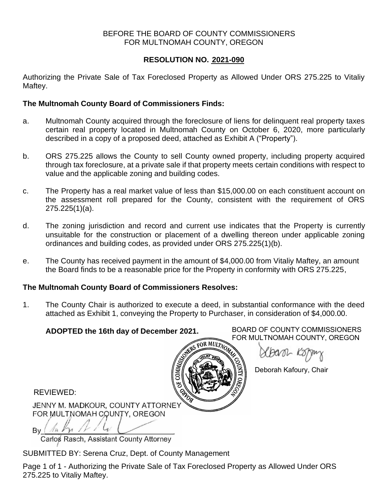## BEFORE THE BOARD OF COUNTY COMMISSIONERS FOR MULTNOMAH COUNTY, OREGON

## **RESOLUTION NO. 2021-090**

Authorizing the Private Sale of Tax Foreclosed Property as Allowed Under ORS 275.225 to Vitaliy Maftey.

## **The Multnomah County Board of Commissioners Finds:**

- a. Multnomah County acquired through the foreclosure of liens for delinquent real property taxes certain real property located in Multnomah County on October 6, 2020, more particularly described in a copy of a proposed deed, attached as Exhibit A ("Property").
- b. ORS 275.225 allows the County to sell County owned property, including property acquired through tax foreclosure, at a private sale if that property meets certain conditions with respect to value and the applicable zoning and building codes.
- c. The Property has a real market value of less than \$15,000.00 on each constituent account on the assessment roll prepared for the County, consistent with the requirement of ORS 275.225(1)(a).
- d. The zoning jurisdiction and record and current use indicates that the Property is currently unsuitable for the construction or placement of a dwelling thereon under applicable zoning ordinances and building codes, as provided under ORS 275.225(1)(b).
- e. The County has received payment in the amount of \$4,000.00 from Vitaliy Maftey, an amount the Board finds to be a reasonable price for the Property in conformity with ORS 275.225,

## **The Multnomah County Board of Commissioners Resolves:**

1. The County Chair is authorized to execute a deed, in substantial conformance with the deed attached as Exhibit 1, conveying the Property to Purchaser, in consideration of \$4,000.00.

# **ADOPTED the 16th day of December 2021.**

BOARD OF COUNTY COMMISSIONERS FOR MULTNOMAH COUNTY, OREGON

XBanil Ko

Deborah Kafoury, Chair

REVIEWED:

JENNY M. MADKOUR, COUNTY ATTORNEY FOR MULTNOMAH COUNTY, OREGON

By (  $\pi$   $\eta$ 

Carlos Rasch, Assistant County Attorney

SUBMITTED BY: Serena Cruz, Dept. of County Management

Page 1 of 1 - Authorizing the Private Sale of Tax Foreclosed Property as Allowed Under ORS 275.225 to Vitaliy Maftey.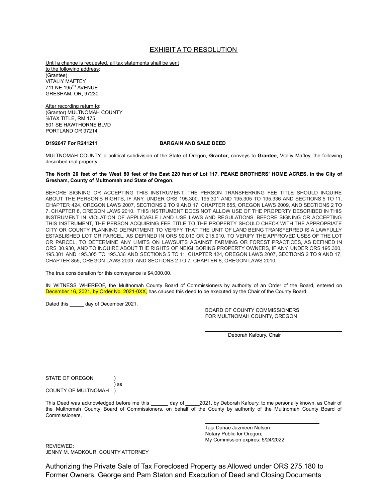## EXHIBIT A TO RESOLUTION

Until a change is requested, all tax statements shall be sent to the following address: (Grantee) VITALIY MAFTEY 711 NE 195 TH AVENUE GRESHAM, OR, 97230

After recording return to: (Grantor) MULTNOMAH COUNTY ℅TAX TITLE, RM 175 501 SE HAWTHORNE BLVD PORTLAND OR 97214

#### **D192647 For R241211 BARGAIN AND SALE DEED**

MULTNOMAH COUNTY, a political subdivision of the State of Oregon, **Grantor**, conveys to **Grantee**, Vitaliy Maftey, the following described real property:

#### The North 20 feet of the West 80 feet of the East 220 feet of Lot 117, PEAKE BROTHERS' HOME ACRES, in the City of **Gresham, County of Multnomah and State of Oregon.**

BEFORE SIGNING OR ACCEPTING THIS INSTRUMENT, THE PERSON TRANSFERRING FEE TITLE SHOULD INQUIRE ABOUT THE PERSON'S RIGHTS, IF ANY, UNDER ORS 195.300, 195.301 AND 195.305 TO 195.336 AND SECTIONS 5 TO 11, CHAPTER 424, OREGON LAWS 2007, SECTIONS 2 TO 9 AND 17, CHAPTER 855, OREGON LAWS 2009, AND SECTIONS 2 TO 7, CHAPTER 8, OREGON LAWS 2010. THIS INSTRUMENT DOES NOT ALLOW USE OF THE PROPERTY DESCRIBED IN THIS INSTRUMENT IN VIOLATION OF APPLICABLE LAND USE LAWS AND REGULATIONS. BEFORE SIGNING OR ACCEPTING THIS INSTRUMENT, THE PERSON ACQUIRING FEE TITLE TO THE PROPERTY SHOULD CHECK WITH THE APPROPRIATE CITY OR COUNTY PLANNING DEPARTMENT TO VERIFY THAT THE UNIT OF LAND BEING TRANSFERRED IS A LAWFULLY ESTABLISHED LOT OR PARCEL, AS DEFINED IN ORS 92.010 OR 215.010, TO VERIFY THE APPROVED USES OF THE LOT OR PARCEL, TO DETERMINE ANY LIMITS ON LAWSUITS AGAINST FARMING OR FOREST PRACTICES, AS DEFINED IN ORS 30.930, AND TO INQUIRE ABOUT THE RIGHTS OF NEIGHBORING PROPERTY OWNERS, IF ANY, UNDER ORS 195.300, 195.301 AND 195.305 TO 195.336 AND SECTIONS 5 TO 11, CHAPTER 424, OREGON LAWS 2007, SECTIONS 2 TO 9 AND 17, CHAPTER 855, OREGON LAWS 2009, AND SECTIONS 2 TO 7, CHAPTER 8, OREGON LAWS 2010.

The true consideration for this conveyance is \$4,000.00.

) ss

IN WITNESS WHEREOF, the Multnomah County Board of Commissioners by authority of an Order of the Board, entered on December 16, 2021, by Order No. 2021-0XX, has caused this deed to be executed by the Chair of the County Board.

Dated this \_\_\_\_\_ day of December 2021.

BOARD OF COUNTY COMMISSIONERS FOR MULTNOMAH COUNTY, OREGON

Deborah Kafoury, Chair

STATE OF OREGON (1)

COUNTY OF MULTNOMAH )

This Deed was acknowledged before me this \_\_\_\_\_\_ day of \_\_\_\_\_2021, by Deborah Kafoury, to me personally known, as Chair of the Multnomah County Board of Commissioners, on behalf of the County by authority of the Multnomah County Board of Commissioners.

> Taja Danae Jazmeen Nelson Notary Public for Oregon; My Commission expires: 5/24/2022

REVIEWED: JENNY M. MADKOUR, COUNTY ATTORNEY

Authorizing the Private Sale of Tax Foreclosed Property as Allowed under ORS 275.180 to Former Owners, George and Pam Staton and Execution of Deed and Closing Documents